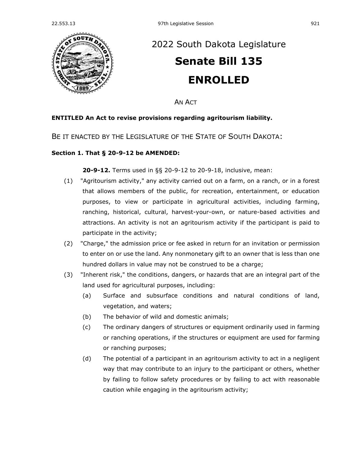

# [2022 South Dakota Legislature](https://sdlegislature.gov/Session/Bills/64) **[Senate Bill 135](https://sdlegislature.gov/Session/Bill/23124) ENROLLED**

AN ACT

# **ENTITLED An Act to revise provisions regarding agritourism liability.**

BE IT ENACTED BY THE LEGISLATURE OF THE STATE OF SOUTH DAKOTA:

# **Section 1. [That § 20-9-12 be AMENDED:](https://sdlegislature.gov/Statutes?Statute=20-9-12)**

**[20-9-12.](https://sdlegislature.gov/Statutes/Codified_Laws/DisplayStatute.aspx?Type=Statute&Statute=20-9-12)** Terms used in §§ [20-9-12](https://sdlegislature.gov/Statutes/Codified_Laws/DisplayStatute.aspx?Type=Statute&Statute=20-9-12) to [20-9-18,](https://sdlegislature.gov/Statutes/Codified_Laws/DisplayStatute.aspx?Type=Statute&Statute=20-9-18) inclusive, mean:

- (1) "Agritourism activity," any activity carried out on a farm, on a ranch, or in a forest that allows members of the public, for recreation, entertainment, or education purposes, to view or participate in agricultural activities, including farming, ranching, historical, cultural, harvest-your-own, or nature-based activities and attractions. An activity is not an agritourism activity if the participant is paid to participate in the activity;
- (2) "Charge," the admission price or fee asked in return for an invitation or permission to enter on or use the land. Any nonmonetary gift to an owner that is less than one hundred dollars in value may not be construed to be a charge;
- (3) "Inherent risk," the conditions, dangers, or hazards that are an integral part of the land used for agricultural purposes, including:
	- (a) Surface and subsurface conditions and natural conditions of land, vegetation, and waters;
	- (b) The behavior of wild and domestic animals;
	- (c) The ordinary dangers of structures or equipment ordinarily used in farming or ranching operations, if the structures or equipment are used for farming or ranching purposes;
	- (d) The potential of a participant in an agritourism activity to act in a negligent way that may contribute to an injury to the participant or others, whether by failing to follow safety procedures or by failing to act with reasonable caution while engaging in the agritourism activity;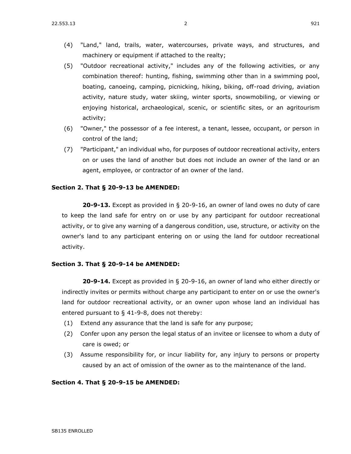- (5) "Outdoor recreational activity," includes any of the following activities, or any combination thereof: hunting, fishing, swimming other than in a swimming pool, boating, canoeing, camping, picnicking, hiking, biking, off-road driving, aviation activity, nature study, water skiing, winter sports, snowmobiling, or viewing or enjoying historical, archaeological, scenic, or scientific sites, or an agritourism activity;
- (6) "Owner," the possessor of a fee interest, a tenant, lessee, occupant, or person in control of the land;
- (7) "Participant," an individual who, for purposes of outdoor recreational activity, enters on or uses the land of another but does not include an owner of the land or an agent, employee, or contractor of an owner of the land.

# **Section 2. [That § 20-9-13 be AMENDED:](https://sdlegislature.gov/Statutes?Statute=20-9-13)**

**[20-9-13.](https://sdlegislature.gov/Statutes/Codified_Laws/DisplayStatute.aspx?Type=Statute&Statute=20-9-13)** Except as provided in § [20-9-16,](https://sdlegislature.gov/Statutes/Codified_Laws/DisplayStatute.aspx?Type=Statute&Statute=20-9-16) an owner of land owes no duty of care to keep the land safe for entry on or use by any participant for outdoor recreational activity, or to give any warning of a dangerous condition, use, structure, or activity on the owner's land to any participant entering on or using the land for outdoor recreational activity.

#### **Section 3. [That § 20-9-14 be AMENDED:](https://sdlegislature.gov/Statutes?Statute=20-9-14)**

**[20-9-14.](https://sdlegislature.gov/Statutes/Codified_Laws/DisplayStatute.aspx?Type=Statute&Statute=20-9-14)** Except as provided in § [20-9-16,](https://sdlegislature.gov/Statutes/Codified_Laws/DisplayStatute.aspx?Type=Statute&Statute=20-9-16) an owner of land who either directly or indirectly invites or permits without charge any participant to enter on or use the owner's land for outdoor recreational activity, or an owner upon whose land an individual has entered pursuant to § [41-9-8,](https://sdlegislature.gov/Statutes/Codified_Laws/DisplayStatute.aspx?Type=Statute&Statute=41-9-8) does not thereby:

- (1) Extend any assurance that the land is safe for any purpose;
- (2) Confer upon any person the legal status of an invitee or licensee to whom a duty of care is owed; or
- (3) Assume responsibility for, or incur liability for, any injury to persons or property caused by an act of omission of the owner as to the maintenance of the land.

#### **Section 4. [That § 20-9-15 be AMENDED:](https://sdlegislature.gov/Statutes?Statute=20-9-15)**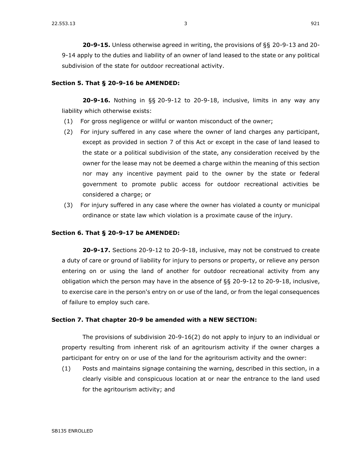### **Section 5. [That § 20-9-16 be AMENDED:](https://sdlegislature.gov/Statutes?Statute=20-9-16)**

**[20-9-16.](https://sdlegislature.gov/Statutes/Codified_Laws/DisplayStatute.aspx?Type=Statute&Statute=20-9-16)** Nothing in §§ [20-9-12](https://sdlegislature.gov/Statutes/Codified_Laws/DisplayStatute.aspx?Type=Statute&Statute=20-9-12) to [20-9-18,](https://sdlegislature.gov/Statutes/Codified_Laws/DisplayStatute.aspx?Type=Statute&Statute=20-9-18) inclusive, limits in any way any liability which otherwise exists:

- (1) For gross negligence or willful or wanton misconduct of the owner;
- (2) For injury suffered in any case where the owner of land charges any participant, except as provided in section 7 of this Act or except in the case of land leased to the state or a political subdivision of the state, any consideration received by the owner for the lease may not be deemed a charge within the meaning of this section nor may any incentive payment paid to the owner by the state or federal government to promote public access for outdoor recreational activities be considered a charge; or
- (3) For injury suffered in any case where the owner has violated a county or municipal ordinance or state law which violation is a proximate cause of the injury.

# **Section 6. That [§ 20-9-17 be AMENDED:](https://sdlegislature.gov/Statutes?Statute=20-9-17)**

**[20-9-17.](https://sdlegislature.gov/Statutes/Codified_Laws/DisplayStatute.aspx?Type=Statute&Statute=20-9-17)** Sections [20-9-12](https://sdlegislature.gov/Statutes/Codified_Laws/DisplayStatute.aspx?Type=Statute&Statute=20-9-12) to [20-9-18,](https://sdlegislature.gov/Statutes/Codified_Laws/DisplayStatute.aspx?Type=Statute&Statute=20-9-18) inclusive, may not be construed to create a duty of care or ground of liability for injury to persons or property, or relieve any person entering on or using the land of another for outdoor recreational activity from any obligation which the person may have in the absence of §§ [20-9-12](https://sdlegislature.gov/Statutes/Codified_Laws/DisplayStatute.aspx?Type=Statute&Statute=20-9-12) to [20-9-18,](https://sdlegislature.gov/Statutes/Codified_Laws/DisplayStatute.aspx?Type=Statute&Statute=20-9-18) inclusive, to exercise care in the person's entry on or use of the land, or from the legal consequences of failure to employ such care.

# **Section 7. That chapter [20-9](https://sdlegislature.gov/Statutes?Statute=20-9) be amended with a NEW SECTION:**

The provisions of subdivision [20-9-16\(](https://sdlegislature.gov/Statutes?Statute=20-9-16)2) do not apply to injury to an individual or property resulting from inherent risk of an agritourism activity if the owner charges a participant for entry on or use of the land for the agritourism activity and the owner:

(1) Posts and maintains signage containing the warning, described in this section, in a clearly visible and conspicuous location at or near the entrance to the land used for the agritourism activity; and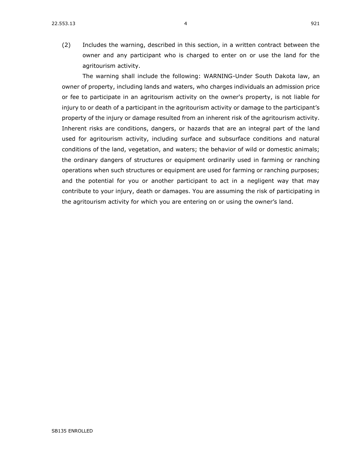$22.553.13$  921

(2) Includes the warning, described in this section, in a written contract between the owner and any participant who is charged to enter on or use the land for the agritourism activity.

The warning shall include the following: WARNING-Under South Dakota law, an owner of property, including lands and waters, who charges individuals an admission price or fee to participate in an agritourism activity on the owner's property, is not liable for injury to or death of a participant in the agritourism activity or damage to the participant's property of the injury or damage resulted from an inherent risk of the agritourism activity. Inherent risks are conditions, dangers, or hazards that are an integral part of the land used for agritourism activity, including surface and subsurface conditions and natural conditions of the land, vegetation, and waters; the behavior of wild or domestic animals; the ordinary dangers of structures or equipment ordinarily used in farming or ranching operations when such structures or equipment are used for farming or ranching purposes; and the potential for you or another participant to act in a negligent way that may contribute to your injury, death or damages. You are assuming the risk of participating in the agritourism activity for which you are entering on or using the owner's land.